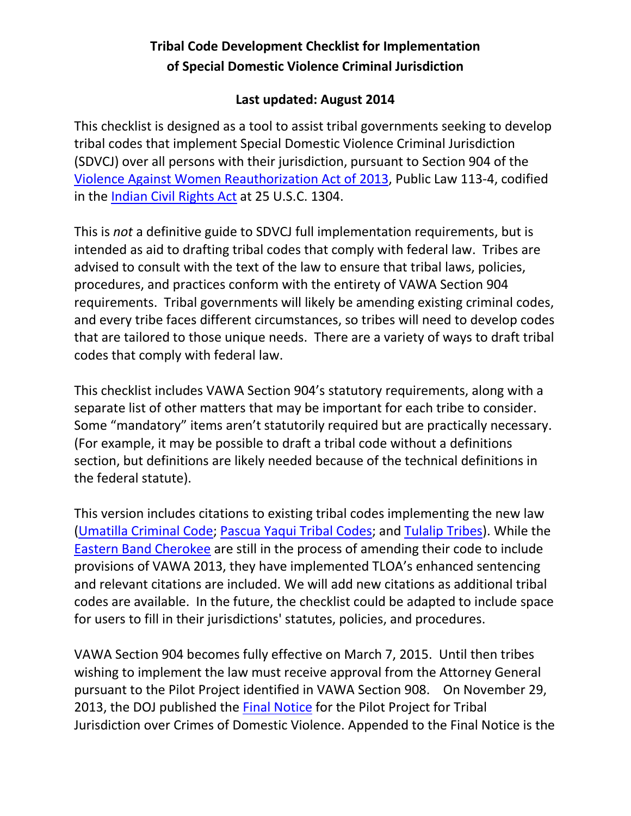# **Tribal Code Development Checklist for Implementation of Special Domestic Violence Criminal Jurisdiction**

#### **Last updated: August 2014**

This checklist is designed as a tool to assist tribal governments seeking to develop tribal codes that implement Special Domestic Violence Criminal Jurisdiction (SDVCJ) over all persons with their jurisdiction, pursuant to Section 904 of the [Violence Against Women Reauthorization Act of 2013,](http://www.gpo.gov/fdsys/pkg/BILLS-113s47enr/pdf/BILLS-113s47enr.pdf) Public Law 113-4, codified in the **Indian Civil Rights Act at 25 U.S.C. 1304.** 

This is *not* a definitive guide to SDVCJ full implementation requirements, but is intended as aid to drafting tribal codes that comply with federal law. Tribes are advised to consult with the text of the law to ensure that tribal laws, policies, procedures, and practices conform with the entirety of VAWA Section 904 requirements. Tribal governments will likely be amending existing criminal codes, and every tribe faces different circumstances, so tribes will need to develop codes that are tailored to those unique needs. There are a variety of ways to draft tribal codes that comply with federal law.

This checklist includes VAWA Section 904's statutory requirements, along with a separate list of other matters that may be important for each tribe to consider. Some "mandatory" items aren't statutorily required but are practically necessary. (For example, it may be possible to draft a tribal code without a definitions section, but definitions are likely needed because of the technical definitions in the federal statute).

This version includes citations to existing tribal codes implementing the new law (Umatilla [Criminal Code;](http://ctuir.org/Criminal%20Code%20thru%20Res%2013-040%20%2810-15-2013%29%20LH%20CUR%20REF.pdf) [Pascua Yaqui Tribal Codes;](http://www.pascuayaqui-nsn.gov/_static_pages/tribalcodes/index.php) and [Tulalip Tribes\)](http://www.codepublishing.com/wa/Tulalip/). While the [Eastern Band Cherokee](http://library.municode.com/index.aspx?clientId=13359) are still in the process of amending their code to include provisions of VAWA 2013, they have implemented TLOA's enhanced sentencing and relevant citations are included. We will add new citations as additional tribal codes are available. In the future, the checklist could be adapted to include space for users to fill in their jurisdictions' statutes, policies, and procedures.

VAWA Section 904 becomes fully effective on March 7, 2015. Until then tribes wishing to implement the law must receive approval from the Attorney General pursuant to the Pilot Project identified in VAWA Section 908. On November 29, 2013, the DOJ published the [Final Notice](https://www.federalregister.gov/articles/2013/11/29/2013-28653/pilot-project-for-tribal-jurisdiction-over-crimes-of-domestic-violence?utm_campaign=subscription+mailing+list&utm_medium=email&utm_source=federalregister.gov) for the Pilot Project for Tribal Jurisdiction over Crimes of Domestic Violence. Appended to the Final Notice is the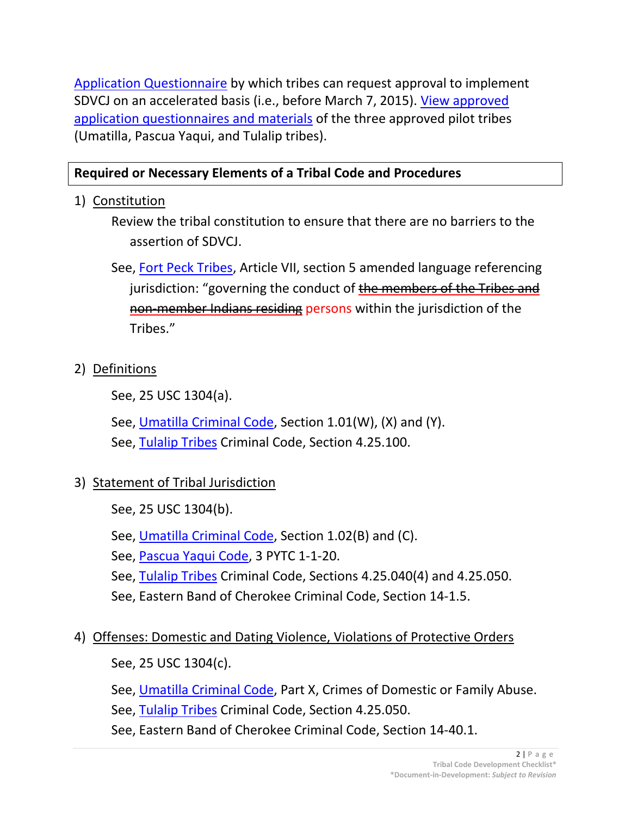[Application Questionnaire](http://www.justice.gov/tribal/docs/appl-questionnaire-vawa-pilot.pdf) by which tribes can request approval to implement SDVCJ on an accelerated basis (i.e., before March 7, 2015). [View approved](http://www.justice.gov/tribal/vawa-pilot-2013.html)  [application questionnaires and materials](http://www.justice.gov/tribal/vawa-pilot-2013.html) of the three approved pilot tribes (Umatilla, Pascua Yaqui, and Tulalip tribes).

#### **Required or Necessary Elements of a Tribal Code and Procedures**

1) Constitution

Review the tribal constitution to ensure that there are no barriers to the assertion of SDVCJ.

See, [Fort Peck Tribes,](http://www.fptc.org/ccoj/appendix/appendix_1.pdf) Article VII, section 5 amended language referencing jurisdiction: "governing the conduct of the members of the Tribes and non-member Indians residing persons within the jurisdiction of the Tribes."

#### 2) Definitions

See, 25 USC 1304(a).

See, [Umatilla Criminal Code,](http://ctuir.org/Criminal%20Code.pdf) Section 1.01(W), (X) and (Y).

See, [Tulalip Tribes](http://www.codepublishing.com/wa/tulalip/) Criminal Code, Section 4.25.100.

# 3) Statement of Tribal Jurisdiction

- See, 25 USC 1304(b).
- See, [Umatilla Criminal Code,](http://ctuir.org/Criminal%20Code.pdf) Section 1.02(B) and (C).
- See, [Pascua Yaqui Code,](http://www.pascuayaqui-nsn.gov/_static_pages/tribalcodes/) 3 PYTC 1-1-20.
- See, [Tulalip Tribes](http://www.codepublishing.com/wa/tulalip/) Criminal Code, Sections 4.25.040(4) and 4.25.050.
- See, Eastern Band of Cherokee Criminal Code, Section 14-1.5.

#### 4) Offenses: Domestic and Dating Violence, Violations of Protective Orders

See, 25 USC 1304(c).

See, [Umatilla Criminal Code,](http://ctuir.org/Criminal%20Code.pdf) Part X, Crimes of Domestic or Family Abuse.

See, [Tulalip Tribes](http://www.codepublishing.com/wa/tulalip/) Criminal Code, Section 4.25.050.

See, Eastern Band of Cherokee Criminal Code, Section 14-40.1.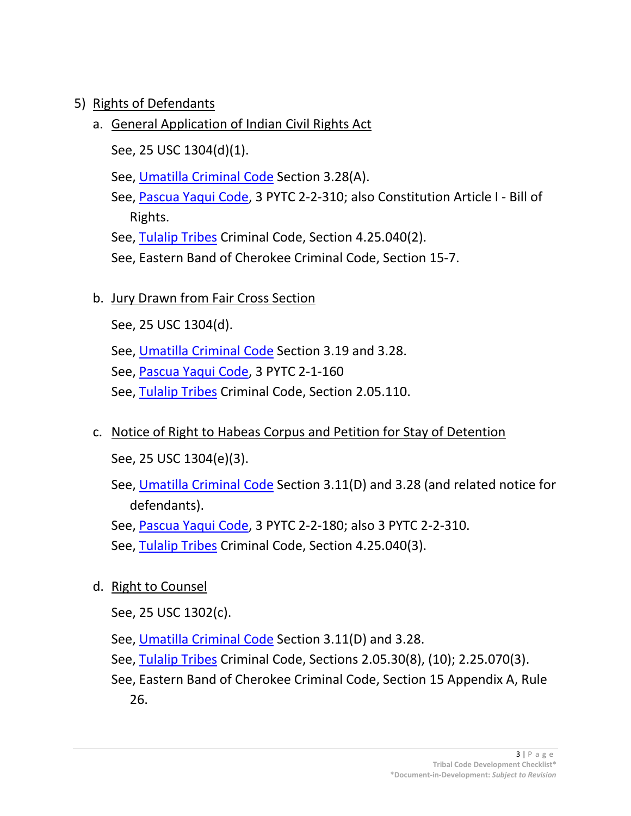### 5) Rights of Defendants

# a. General Application of Indian Civil Rights Act

- See, 25 USC 1304(d)(1).
- See, [Umatilla Criminal Code](http://ctuir.org/Criminal%20Code.pdf) Section 3.28(A).
- See, [Pascua Yaqui Code,](http://www.pascuayaqui-nsn.gov/_static_pages/tribalcodes/) 3 PYTC 2-2-310; also Constitution Article I Bill of Rights.
- See, [Tulalip Tribes](http://www.codepublishing.com/wa/tulalip/) Criminal Code, Section 4.25.040(2).
- See, Eastern Band of Cherokee Criminal Code, Section 15-7.
- b. Jury Drawn from Fair Cross Section
	- See, 25 USC 1304(d).
	- See, [Umatilla Criminal Code](http://ctuir.org/Criminal%20Code.pdf) Section 3.19 and 3.28.
	- See, [Pascua Yaqui Code,](http://www.pascuayaqui-nsn.gov/_static_pages/tribalcodes/) 3 PYTC 2-1-160
	- See, [Tulalip Tribes](http://www.codepublishing.com/wa/tulalip/) Criminal Code, Section 2.05.110.
- c. Notice of Right to Habeas Corpus and Petition for Stay of Detention

See, 25 USC 1304(e)(3).

- See, [Umatilla Criminal Code](http://ctuir.org/Criminal%20Code.pdf) Section 3.11(D) and 3.28 (and related notice for defendants).
- See, [Pascua Yaqui Code,](http://www.pascuayaqui-nsn.gov/_static_pages/tribalcodes/) 3 PYTC 2-2-180; also 3 PYTC 2-2-310.
- See, [Tulalip Tribes](http://www.codepublishing.com/wa/tulalip/) Criminal Code, Section 4.25.040(3).
- d. Right to Counsel
	- See, 25 USC 1302(c).
	- See, [Umatilla Criminal Code](http://ctuir.org/Criminal%20Code.pdf) Section 3.11(D) and 3.28.
	- See, [Tulalip Tribes](http://www.codepublishing.com/wa/tulalip/) Criminal Code, Sections 2.05.30(8), (10); 2.25.070(3).
	- See, Eastern Band of Cherokee Criminal Code, Section 15 Appendix A, Rule 26.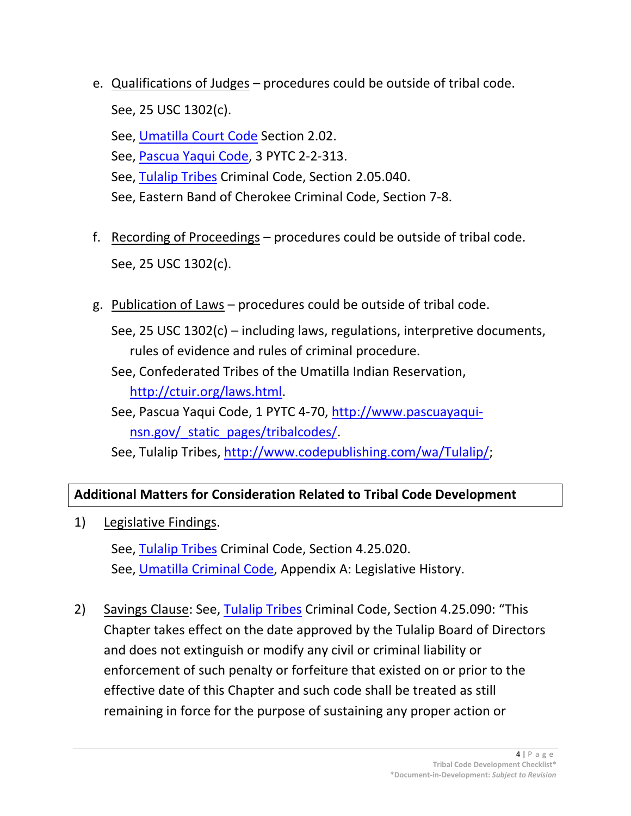- e. Qualifications of Judges procedures could be outside of tribal code. See, 25 USC 1302(c).
	- See, [Umatilla Court Code](http://ctuir.org/Court%20Code.pdf) Section 2.02.
	- See, [Pascua Yaqui Code,](http://www.pascuayaqui-nsn.gov/_static_pages/tribalcodes/) 3 PYTC 2-2-313.
	- See, [Tulalip](http://www.codepublishing.com/wa/tulalip/) Tribes Criminal Code, Section 2.05.040.
	- See, Eastern Band of Cherokee Criminal Code, Section 7-8.
- f. Recording of Proceedings procedures could be outside of tribal code. See, 25 USC 1302(c).
- g. Publication of Laws procedures could be outside of tribal code.

See, 25 USC 1302(c) – including laws, regulations, interpretive documents, rules of evidence and rules of criminal procedure.

- See, Confederated Tribes of the Umatilla Indian Reservation, [http://ctuir.org/laws.html.](http://ctuir.org/laws.html)
- See, Pascua Yaqui Code, 1 PYTC 4-70, [http://www.pascuayaqui](http://www.pascuayaqui-nsn.gov/_static_pages/tribalcodes/)[nsn.gov/\\_static\\_pages/tribalcodes/.](http://www.pascuayaqui-nsn.gov/_static_pages/tribalcodes/)
- See, Tulalip Tribes, [http://www.codepublishing.com/wa/Tulalip/;](http://www.codepublishing.com/wa/Tulalip/)

# **Additional Matters for Consideration Related to Tribal Code Development**

1) Legislative Findings.

See, [Tulalip Tribes](http://www.codepublishing.com/wa/tulalip/) Criminal Code, Section 4.25.020. See, [Umatilla Criminal Code,](http://ctuir.org/Criminal%20Code.pdf) Appendix A: Legislative History.

2) Savings Clause: See, [Tulalip Tribes](http://www.codepublishing.com/wa/tulalip/) Criminal Code, Section 4.25.090: "This Chapter takes effect on the date approved by the Tulalip Board of Directors and does not extinguish or modify any civil or criminal liability or enforcement of such penalty or forfeiture that existed on or prior to the effective date of this Chapter and such code shall be treated as still remaining in force for the purpose of sustaining any proper action or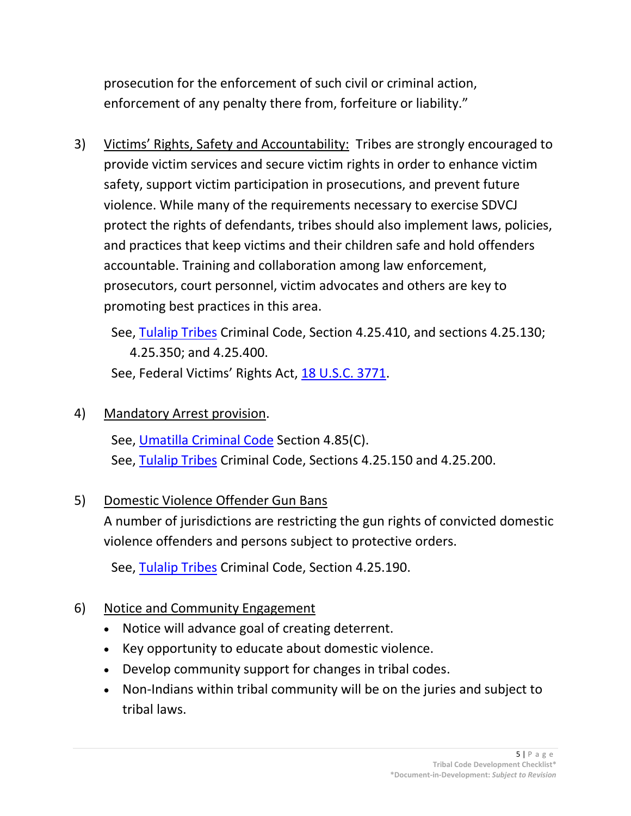prosecution for the enforcement of such civil or criminal action, enforcement of any penalty there from, forfeiture or liability."

3) Victims' Rights, Safety and Accountability: Tribes are strongly encouraged to provide victim services and secure victim rights in order to enhance victim safety, support victim participation in prosecutions, and prevent future violence. While many of the requirements necessary to exercise SDVCJ protect the rights of defendants, tribes should also implement laws, policies, and practices that keep victims and their children safe and hold offenders accountable. Training and collaboration among law enforcement, prosecutors, court personnel, victim advocates and others are key to promoting best practices in this area.

See, [Tulalip Tribes](http://www.codepublishing.com/wa/tulalip/) Criminal Code, Section 4.25.410, and sections 4.25.130; 4.25.350; and 4.25.400. See, Federal Victims' Rights Act, [18 U.S.C. 3771.](http://www.gpo.gov/fdsys/pkg/USCODE-2011-title18/pdf/USCODE-2011-title18-partII-chap237-sec3771.pdf)

### 4) Mandatory Arrest provision.

See, [Umatilla Criminal Code](http://ctuir.org/Criminal%20Code.pdf) Section 4.85(C). See, [Tulalip Tribes](http://www.codepublishing.com/wa/tulalip/) Criminal Code, Sections 4.25.150 and 4.25.200.

# 5) Domestic Violence Offender Gun Bans

A number of jurisdictions are restricting the gun rights of convicted domestic violence offenders and persons subject to protective orders.

See, [Tulalip Tribes](http://www.codepublishing.com/wa/tulalip/) Criminal Code, Section 4.25.190.

# 6) Notice and Community Engagement

- Notice will advance goal of creating deterrent.
- Key opportunity to educate about domestic violence.
- Develop community support for changes in tribal codes.
- Non-Indians within tribal community will be on the juries and subject to tribal laws.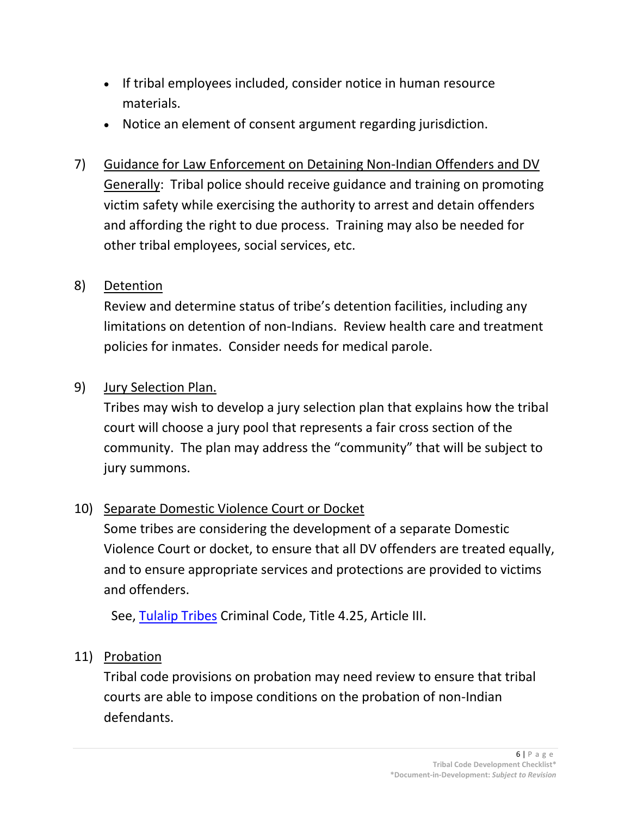- If tribal employees included, consider notice in human resource materials.
- Notice an element of consent argument regarding jurisdiction.
- 7) Guidance for Law Enforcement on Detaining Non-Indian Offenders and DV Generally: Tribal police should receive guidance and training on promoting victim safety while exercising the authority to arrest and detain offenders and affording the right to due process. Training may also be needed for other tribal employees, social services, etc.

## 8) Detention

Review and determine status of tribe's detention facilities, including any limitations on detention of non-Indians. Review health care and treatment policies for inmates. Consider needs for medical parole.

## 9) Jury Selection Plan.

Tribes may wish to develop a jury selection plan that explains how the tribal court will choose a jury pool that represents a fair cross section of the community. The plan may address the "community" that will be subject to jury summons.

# 10) Separate Domestic Violence Court or Docket

Some tribes are considering the development of a separate Domestic Violence Court or docket, to ensure that all DV offenders are treated equally, and to ensure appropriate services and protections are provided to victims and offenders.

See, [Tulalip Tribes](http://www.codepublishing.com/wa/tulalip/) Criminal Code, Title 4.25, Article III.

#### 11) Probation

Tribal code provisions on probation may need review to ensure that tribal courts are able to impose conditions on the probation of non-Indian defendants.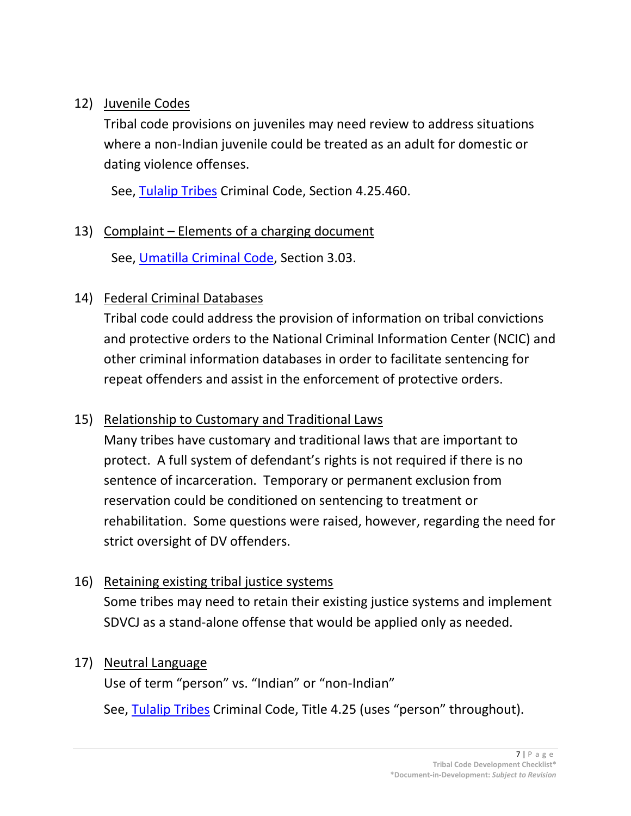### 12) Juvenile Codes

Tribal code provisions on juveniles may need review to address situations where a non-Indian juvenile could be treated as an adult for domestic or dating violence offenses.

See, [Tulalip Tribes](http://www.codepublishing.com/wa/tulalip/) Criminal Code, Section 4.25.460.

## 13) Complaint – Elements of a charging document

See, [Umatilla Criminal Code,](http://ctuir.org/Criminal%20Code.pdf) Section 3.03.

# 14) Federal Criminal Databases

Tribal code could address the provision of information on tribal convictions and protective orders to the National Criminal Information Center (NCIC) and other criminal information databases in order to facilitate sentencing for repeat offenders and assist in the enforcement of protective orders.

# 15) Relationship to Customary and Traditional Laws

Many tribes have customary and traditional laws that are important to protect. A full system of defendant's rights is not required if there is no sentence of incarceration. Temporary or permanent exclusion from reservation could be conditioned on sentencing to treatment or rehabilitation. Some questions were raised, however, regarding the need for strict oversight of DV offenders.

# 16) Retaining existing tribal justice systems

Some tribes may need to retain their existing justice systems and implement SDVCJ as a stand-alone offense that would be applied only as needed.

#### 17) Neutral Language

Use of term "person" vs. "Indian" or "non-Indian"

See, [Tulalip Tribes](http://www.codepublishing.com/wa/tulalip/) Criminal Code, Title 4.25 (uses "person" throughout).